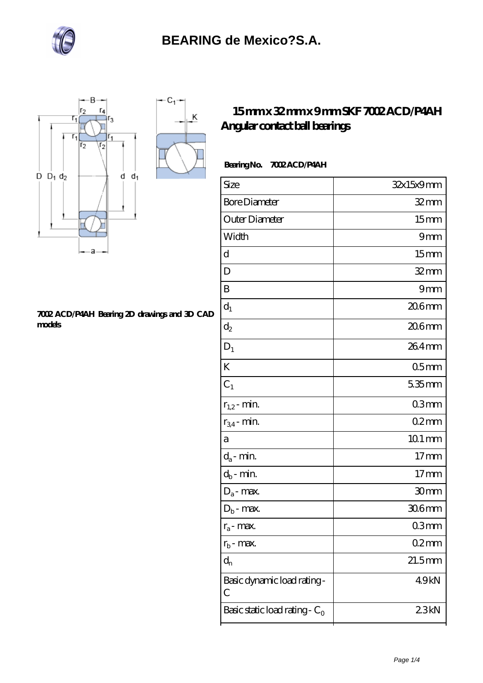

K



#### **[7002 ACD/P4AH Bearing 2D drawings and 3D CAD](https://m.bluewormrecords.com/pic-65112531.html) [models](https://m.bluewormrecords.com/pic-65112531.html)**

### **[15 mm x 32 mm x 9 mm SKF 7002 ACD/P4AH](https://m.bluewormrecords.com/sell-65112531-15-mm-x-32-mm-x-9-mm-skf-7002-acd-p4ah-angular-contact-ball-bearings.html) [Angular contact ball bearings](https://m.bluewormrecords.com/sell-65112531-15-mm-x-32-mm-x-9-mm-skf-7002-acd-p4ah-angular-contact-ball-bearings.html)**

### **Bearing No. 7002 ACD/P4AH**

| Size                             | 32x15x9mm        |
|----------------------------------|------------------|
| <b>Bore Diameter</b>             | $32$ mm          |
| Outer Diameter                   | 15 <sub>mm</sub> |
| Width                            | 9mm              |
| d                                | 15 <sub>mm</sub> |
| D                                | $32$ mm          |
| B                                | 9mm              |
| $d_1$                            | $206$ mm         |
| $\mathrm{d}_2$                   | 206mm            |
| $\mathbf{D}_1$                   | $264$ mm         |
| K                                | 05 <sub>mm</sub> |
| $C_1$                            | 5.35mm           |
| $r_{1,2}$ - min.                 | 03 <sub>mm</sub> |
| $r_{34}$ - min.                  | $02$ mm          |
| a                                | $101$ mm         |
| $d_a$ - min.                     | 17 <sub>mm</sub> |
| $d_b$ - min.                     | 17 <sub>mm</sub> |
| $D_a$ - max.                     | 30mm             |
| $D_b$ - max.                     | 306mm            |
| $r_a$ - max.                     | 03mm             |
| $r_{b}$ - max.                   | 02mm             |
| $d_n$                            | $21.5$ mm        |
| Basic dynamic load rating-<br>С  | 49kN             |
| Basic static load rating - $C_0$ | 23kN             |
|                                  |                  |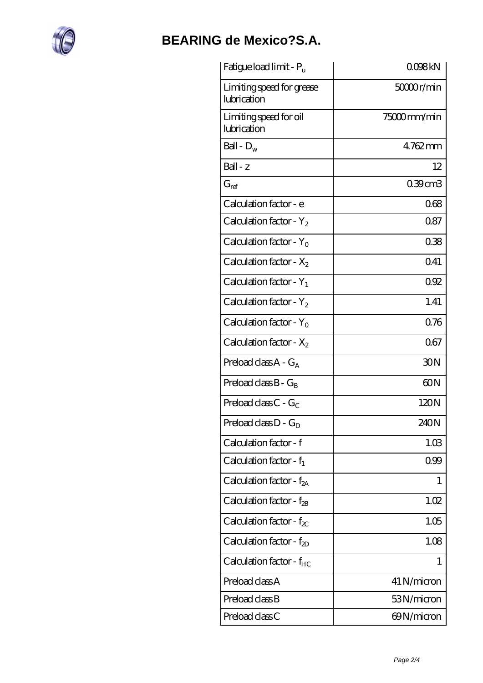

# **[BEARING de Mexico?S.A.](https://m.bluewormrecords.com)**

| Fatigue load limit - P <sub>u</sub>      | QO98kN      |
|------------------------------------------|-------------|
| Limiting speed for grease<br>lubrication | 50000r/min  |
| Limiting speed for oil<br>lubrication    | 75000mm/min |
| Ball - $D_w$                             | 4762mm      |
| $Ball - z$                               | 12          |
| $G_{ref}$                                | 0.39cm3     |
| Calculation factor - e                   | 068         |
| Calculation factor - $Y_2$               | 0.87        |
| Calculation factor - $Y_0$               | 038         |
| Calculation factor - $X_2$               | 0.41        |
| Calculation factor - $Y_1$               | 092         |
| Calculation factor - $Y_2$               | 1.41        |
| Calculation factor - $Y_0$               | 0.76        |
| Calculation factor - $X_2$               | 067         |
| Preload class $A - G_A$                  | 30N         |
| Preload class $B - G_B$                  | 60N         |
| Preload class C - $G_C$                  | 120N        |
| Preload class $D - G_D$                  | 240N        |
| Calculation factor - f                   | 1.03        |
| Calculation factor - $f_1$               | 0.99        |
| Calculation factor - $f_{2A}$            | 1           |
| Calculation factor - $f_{\rm 2B}$        | 1.02        |
| Calculation factor - $f_{\text{X}}$      | 1.05        |
| Calculation factor - $f_{2D}$            | 1.08        |
| Calculation factor - $f_{HC}$            | 1           |
| Preload class A                          | 41 N/micron |
| Preload class B                          | 53N/micron  |
| Preload class C                          | 69N/micron  |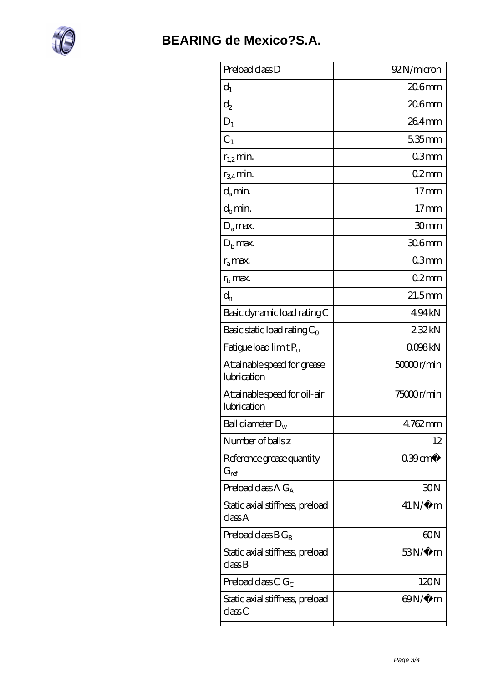